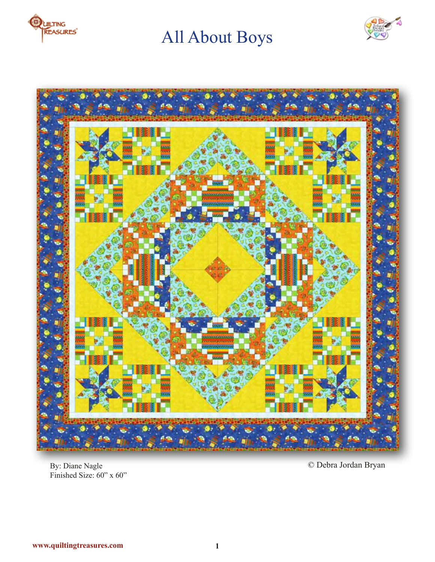





By: Diane Nagle Finished Size: 60" x 60"

© Debra Jordan Bryan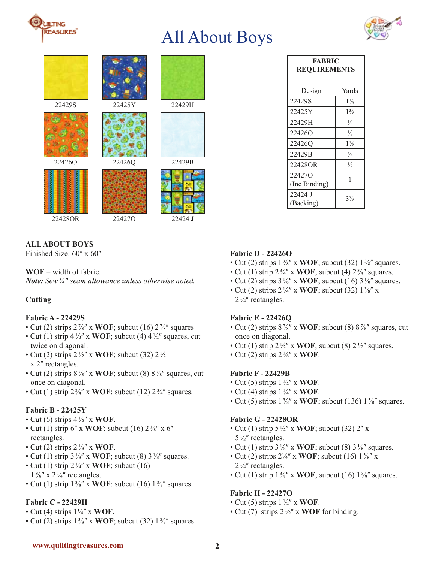



| 22429S  | 22425Y | 22429H  |
|---------|--------|---------|
| 224260  | 22426Q | 22429B  |
| 22428OR | 224270 | 22424 J |

| <b>FABRIC</b><br><b>REQUIREMENTS</b> |                |  |
|--------------------------------------|----------------|--|
| Design                               | Yards          |  |
| 22429S                               | $1\frac{1}{8}$ |  |
| 22425Y                               | $1\frac{3}{8}$ |  |
| 22429H                               | $\frac{1}{4}$  |  |
| 224260                               | $\frac{1}{2}$  |  |
| 22426Q                               | $1\frac{1}{8}$ |  |
| 22429B                               | $\frac{3}{4}$  |  |
| 22428OR                              | $\frac{1}{2}$  |  |
| 224270<br>(Inc Binding)              | 1              |  |
| 22424 J<br>(Backing)                 | $3\frac{7}{8}$ |  |

# **ALL ABOUT BOYS**

Finished Size:  $60'' \times 60''$ 

## $WOF = width of fabric.$

*Note: Sew¼ʺ seam allowance unless otherwise noted.*

# **Cutting**

## **Fabric A - 22429S**

- Cut (2) strips  $2\frac{7}{8}$  x **WOF**; subcut (16)  $2\frac{7}{8}$  squares
- Cut (1) strip  $4\frac{1}{2}$ <sup>"</sup> x **WOF**; subcut (4)  $4\frac{1}{2}$ " squares, cut twice on diagonal.
- Cut (2) strips  $2\frac{1}{2}$ " x **WOF**; subcut (32)  $2\frac{1}{2}$ x 2" rectangles.
- Cut (2) strips  $8\frac{7}{8}$ <sup>"</sup> x **WOF**; subcut (8)  $8\frac{7}{8}$ " squares, cut once on diagonal.
- Cut (1) strip  $2\frac{3}{4}$ " x **WOF**; subcut (12)  $2\frac{3}{4}$ " squares.

# **Fabric B - 22425Y**

- Cut (6) strips  $4\frac{1}{2}$ <sup>"</sup> x **WOF**.
- Cut (1) strip  $6''$  x **WOF**; subcut (16)  $2\frac{1}{8}$ <sup>"</sup> x  $6''$ rectangles.
- Cut (2) strips  $2\frac{1}{8}$ <sup>"</sup> x **WOF**.
- Cut (1) strip  $3\frac{1}{8}$ <sup>"</sup> x **WOF**; subcut (8)  $3\frac{1}{8}$ " squares.
- Cut (1) strip  $2\frac{1}{4}$ <sup>*''*</sup> x **WOF**; subcut (16)  $1\frac{3}{8}$ " x 2 $\frac{1}{4}$ " rectangles.
- Cut (1) strip  $1\frac{3}{8}$ " x **WOF**; subcut (16)  $1\frac{3}{8}$ " squares.

## **Fabric C - 22429H**

- Cut (4) strips  $1\frac{1}{4}$ <sup>*''*</sup> x **WOF**.
- Cut (2) strips  $1\frac{3}{8}$ " x **WOF**; subcut (32)  $1\frac{3}{8}$ " squares.

## **Fabric D - 22426O**

- Cut (2) strips  $1\frac{3}{8}$ " x **WOF**; subcut (32)  $1\frac{3}{8}$ " squares.
- Cut (1) strip  $2\frac{3}{4}$  x **WOF**; subcut (4)  $2\frac{3}{4}$  squares.
- Cut (2) strips  $3\frac{1}{8}$ " x **WOF**; subcut (16)  $3\frac{1}{8}$ " squares.
- Cut (2) strips  $2\frac{1}{4}$  x **WOF**; subcut (32)  $1\frac{3}{8}$  x  $2\frac{1}{4}$ " rectangles.

## **Fabric E - 22426Q**

- Cut (2) strips  $8\frac{7}{8}$ <sup>"</sup> x **WOF**; subcut (8)  $8\frac{7}{8}$ " squares, cut once on diagonal.
- Cut (1) strip  $2\frac{1}{2}$ <sup>"</sup> x **WOF**; subcut (8)  $2\frac{1}{2}$ " squares.
- Cut (2) strips  $2\frac{1}{8}$ <sup>*x*</sup> x **WOF**.

# **Fabric F - 22429B**

- Cut (5) strips  $1\frac{1}{2}$  x **WOF**.
- Cut (4) strips  $1\frac{1}{4}$ <sup>"</sup> x **WOF**.
- Cut (5) strips  $1\frac{3}{8}$ " x **WOF**; subcut (136)  $1\frac{3}{8}$ " squares.

## **Fabric G - 22428OR**

- Cut (1) strip  $5\frac{1}{2}$ <sup>"</sup> x **WOF**; subcut (32) 2<sup>"</sup> x  $5\frac{1}{2}$ " rectangles.
- Cut (1) strip  $3\frac{1}{8}$ " x **WOF**; subcut (8)  $3\frac{1}{8}$ " squares.
- Cut (2) strips  $2\frac{1}{4}$  x **WOF**; subcut (16)  $1\frac{3}{8}$  x  $2\frac{1}{4}$  rectangles.
- Cut (1) strip  $1\frac{3}{8}$ " x **WOF**; subcut (16)  $1\frac{3}{8}$ " squares.

## **Fabric H - 22427O**

- Cut (5) strips  $1\frac{1}{2}$  x **WOF**.
- Cut (7) strips  $2\frac{1}{2}$  x **WOF** for binding.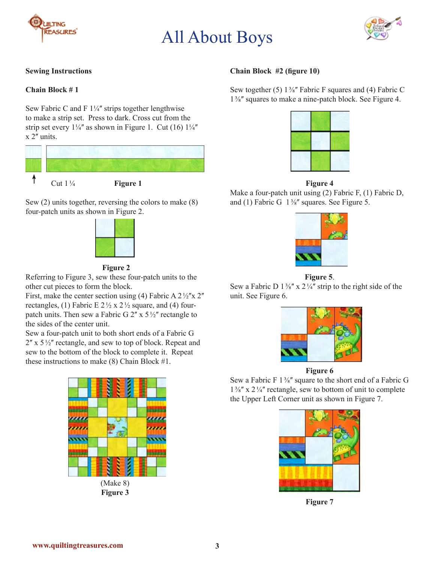





# **Sewing Instructions**

## **Chain Block # 1**

Sew Fabric C and F  $1\frac{1}{4}$ " strips together lengthwise to make a strip set. Press to dark. Cross cut from the strip set every  $1\frac{1}{4}$  as shown in Figure 1. Cut (16)  $1\frac{1}{4}$  $x$  2 $^{\prime\prime}$  units.



Sew (2) units together, reversing the colors to make (8) four-patch units as shown in Figure 2.



#### **Figure 2**

Referring to Figure 3, sew these four-patch units to the other cut pieces to form the block.

First, make the center section using (4) Fabric A  $2\frac{1}{2}x$   $2^{\prime\prime}$ rectangles, (1) Fabric E  $2\frac{1}{2} \times 2\frac{1}{2}$  square, and (4) fourpatch units. Then sew a Fabric G  $2''$  x  $5\frac{1}{2}''$  rectangle to the sides of the center unit.

Sew a four-patch unit to both short ends of a Fabric G  $2''$  x  $5\frac{1}{2}''$  rectangle, and sew to top of block. Repeat and sew to the bottom of the block to complete it. Repeat these instructions to make (8) Chain Block #1.



**Figure 3**

### **Chain Block #2 (figure 10)**

Sew together (5)  $1\frac{3}{8}$ " Fabric F squares and (4) Fabric C 1⅜ʺ squares to make a nine-patch block. See Figure 4.



#### **Figure 4**

Make a four-patch unit using (2) Fabric F, (1) Fabric D, and (1) Fabric G  $1\frac{3}{8}$ " squares. See Figure 5.



**Figure 5**.

Sew a Fabric D  $1\frac{3}{8}$ " x  $2\frac{1}{4}$ " strip to the right side of the unit. See Figure 6.



**Figure 6**

Sew a Fabric F  $1\frac{3}{8}$ " square to the short end of a Fabric G  $1\frac{3}{8}$ " x  $2\frac{1}{4}$ " rectangle, sew to bottom of unit to complete the Upper Left Corner unit as shown in Figure 7.



**Figure 7**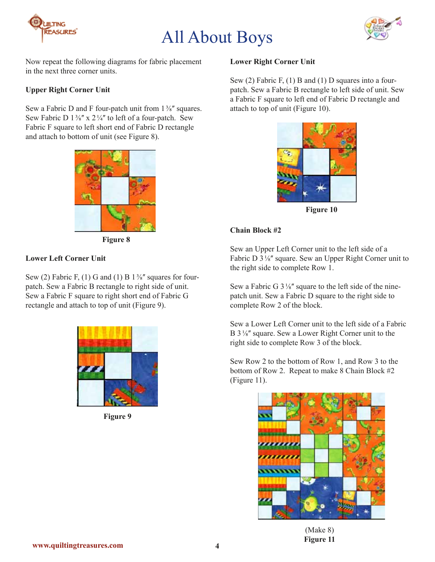



Now repeat the following diagrams for fabric placement in the next three corner units.

# **Upper Right Corner Unit**

Sew a Fabric D and F four-patch unit from  $1\frac{3}{8}$ " squares. Sew Fabric D  $1\frac{3}{8}$ " x  $2\frac{1}{4}$ " to left of a four-patch. Sew Fabric F square to left short end of Fabric D rectangle and attach to bottom of unit (see Figure 8).



 **Figure 8**

# **Lower Left Corner Unit**

Sew (2) Fabric F, (1) G and (1) B  $1\frac{3}{8}$ " squares for fourpatch. Sew a Fabric B rectangle to right side of unit. Sew a Fabric F square to right short end of Fabric G rectangle and attach to top of unit (Figure 9).



**Figure 9**

#### **Lower Right Corner Unit**

Sew (2) Fabric F, (1) B and (1) D squares into a fourpatch. Sew a Fabric B rectangle to left side of unit. Sew a Fabric F square to left end of Fabric D rectangle and attach to top of unit (Figure 10).



**Figure 10**

## **Chain Block #2**

Sew an Upper Left Corner unit to the left side of a Fabric D  $3\frac{1}{8}$ " square. Sew an Upper Right Corner unit to the right side to complete Row 1.

Sew a Fabric G  $3\frac{1}{8}$ " square to the left side of the ninepatch unit. Sew a Fabric D square to the right side to complete Row 2 of the block.

Sew a Lower Left Corner unit to the left side of a Fabric B  $3\frac{1}{8}$ " square. Sew a Lower Right Corner unit to the right side to complete Row 3 of the block.

Sew Row 2 to the bottom of Row 1, and Row 3 to the bottom of Row 2. Repeat to make 8 Chain Block #2 (Figure 11).



(Make 8) **Figure 11**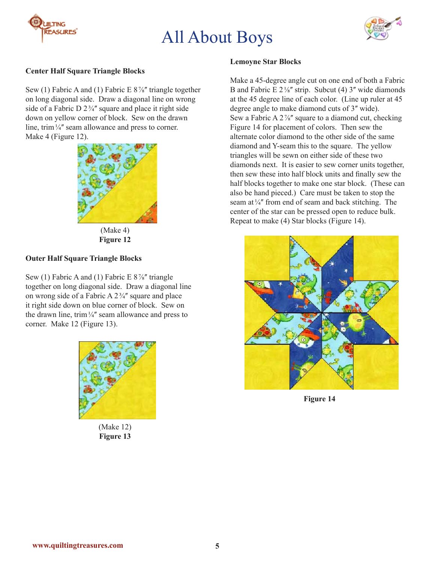



## **Center Half Square Triangle Blocks**

Sew (1) Fabric A and (1) Fabric E  $8\frac{7}{8}$ " triangle together on long diagonal side. Draw a diagonal line on wrong side of a Fabric D  $2\frac{3}{4}$ " square and place it right side down on yellow corner of block. Sew on the drawn line, trim  $\frac{1}{4}$ " seam allowance and press to corner. Make 4 (Figure 12).



(Make 4) **Figure 12**

# **Outer Half Square Triangle Blocks**

Sew (1) Fabric A and (1) Fabric E  $8\frac{7}{8}$ " triangle together on long diagonal side. Draw a diagonal line on wrong side of a Fabric A  $2\frac{3}{4}$ " square and place it right side down on blue corner of block. Sew on the drawn line, trim  $\frac{1}{4}$ " seam allowance and press to corner. Make 12 (Figure 13).



(Make 12) **Figure 13**

#### **Lemoyne Star Blocks**

Make a 45-degree angle cut on one end of both a Fabric B and Fabric E  $2\frac{1}{8}$ " strip. Subcut (4) 3" wide diamonds at the 45 degree line of each color. (Line up ruler at 45 degree angle to make diamond cuts of 3" wide). Sew a Fabric A  $2\frac{7}{8}$  square to a diamond cut, checking Figure 14 for placement of colors. Then sew the alternate color diamond to the other side of the same diamond and Y-seam this to the square. The yellow triangles will be sewn on either side of these two diamonds next. It is easier to sew corner units together, then sew these into half block units and finally sew the half blocks together to make one star block. (These can also be hand pieced.) Care must be taken to stop the seam at  $\frac{1}{4}$ " from end of seam and back stitching. The center of the star can be pressed open to reduce bulk. Repeat to make (4) Star blocks (Figure 14).



**Figure 14**